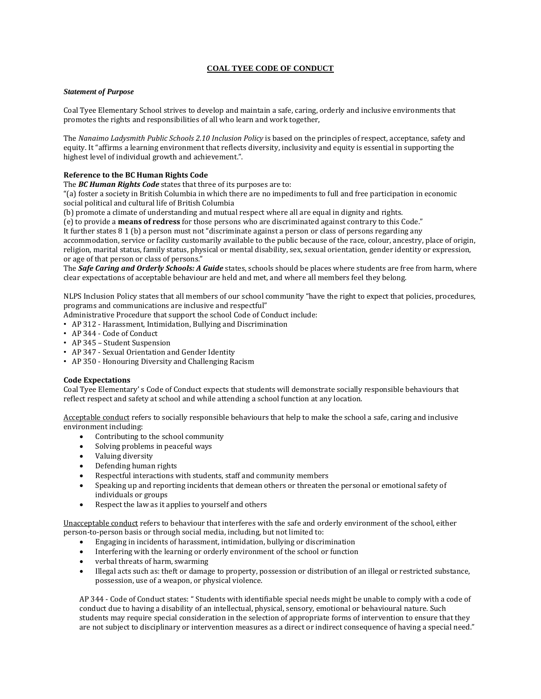# **COAL TYEE CODE OF CONDUCT**

### *Statement of Purpose*

Coal Tyee Elementary School strives to develop and maintain a safe, caring, orderly and inclusive environments that promotes the rights and responsibilities of all who learn and work together,

The *Nanaimo Ladysmith Public Schools 2.10 Inclusion Policy* is based on the principles of respect, acceptance, safety and equity. It "affirms a learning environment that reflects diversity, inclusivity and equity is essential in supporting the highest level of individual growth and achievement.".

## **Reference to the BC Human Rights Code**

The *BC Human Rights Code* states that three of its purposes are to:

"(a) foster a society in British Columbia in which there are no impediments to full and free participation in economic social political and cultural life of British Columbia

(b) promote a climate of understanding and mutual respect where all are equal in dignity and rights.

(e) to provide a **means of redress** for those persons who are discriminated against contrary to this Code."

It further states 8 1 (b) a person must not "discriminate against a person or class of persons regarding any

accommodation, service or facility customarily available to the public because of the race, colour, ancestry, place of origin, religion, marital status, family status, physical or mental disability, sex, sexual orientation, gender identity or expression, or age of that person or class of persons."

The *Safe Caring and Orderly Schools: A Guide* states, schools should be places where students are free from harm, where clear expectations of acceptable behaviour are held and met, and where all members feel they belong.

NLPS Inclusion Policy states that all members of our school community "have the right to expect that policies, procedures, programs and communications are inclusive and respectful"

Administrative Procedure that support the school Code of Conduct include:

- AP 312 Harassment, Intimidation, Bullying and Discrimination
- AP 344 Code of Conduct
- AP 345 Student Suspension
- AP 347 Sexual Orientation and Gender Identity
- AP 350 Honouring Diversity and Challenging Racism

### **Code Expectations**

Coal Tyee Elementary' s Code of Conduct expects that students will demonstrate socially responsible behaviours that reflect respect and safety at school and while attending a school function at any location.

Acceptable conduct refers to socially responsible behaviours that help to make the school a safe, caring and inclusive environment including:

- Contributing to the school community
- Solving problems in peaceful ways
- Valuing diversity
- Defending human rights
- Respectful interactions with students, staff and community members
- Speaking up and reporting incidents that demean others or threaten the personal or emotional safety of individuals or groups
- Respect the law as it applies to yourself and others

Unacceptable conduct refers to behaviour that interferes with the safe and orderly environment of the school, either person-to-person basis or through social media, including, but not limited to:

- Engaging in incidents of harassment, intimidation, bullying or discrimination
- Interfering with the learning or orderly environment of the school or function
- verbal threats of harm, swarming
- Illegal acts such as: theft or damage to property, possession or distribution of an illegal or restricted substance, possession, use of a weapon, or physical violence.

AP 344 - Code of Conduct states: " Students with identifiable special needs might be unable to comply with a code of conduct due to having a disability of an intellectual, physical, sensory, emotional or behavioural nature. Such students may require special consideration in the selection of appropriate forms of intervention to ensure that they are not subject to disciplinary or intervention measures as a direct or indirect consequence of having a special need."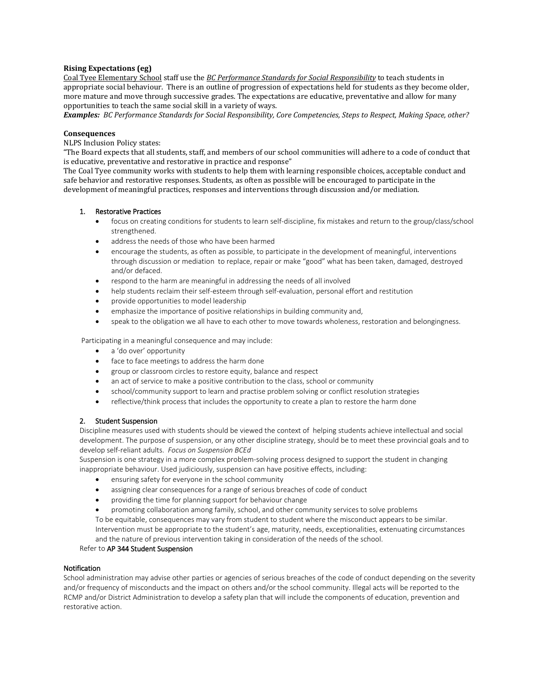### **Rising Expectations (eg)**

Coal Tyee Elementary School staff use the *BC Performance Standards for Social Responsibility* to teach students in appropriate social behaviour. There is an outline of progression of expectations held for students as they become older, more mature and move through successive grades. The expectations are educative, preventative and allow for many opportunities to teach the same social skill in a variety of ways.

Examples: BC Performance Standards for Social Responsibility, Core Competencies, Steps to Respect, Making Space, other?

#### **Consequences**

NLPS Inclusion Policy states:

"The Board expects that all students, staff, and members of our school communities will adhere to a code of conduct that is educative, preventative and restorative in practice and response"

The Coal Tyee community works with students to help them with learning responsible choices, acceptable conduct and safe behavior and restorative responses. Students, as often as possible will be encouraged to participate in the development of meaningful practices, responses and interventions through discussion and/or mediation.

#### 1. Restorative Practices

- focus on creating conditions for students to learn self-discipline, fix mistakes and return to the group/class/school strengthened.
- address the needs of those who have been harmed
- encourage the students, as often as possible, to participate in the development of meaningful, interventions through discussion or mediation to replace, repair or make "good" what has been taken, damaged, destroyed and/or defaced.
- respond to the harm are meaningful in addressing the needs of all involved
- help students reclaim their self-esteem through self-evaluation, personal effort and restitution
- provide opportunities to model leadership
- emphasize the importance of positive relationships in building community and,
- speak to the obligation we all have to each other to move towards wholeness, restoration and belongingness.

Participating in a meaningful consequence and may include:

- a 'do over' opportunity
- face to face meetings to address the harm done
- group or classroom circles to restore equity, balance and respect
- an act of service to make a positive contribution to the class, school or community
- school/community support to learn and practise problem solving or conflict resolution strategies
- reflective/think process that includes the opportunity to create a plan to restore the harm done

#### 2. Student Suspension

Discipline measures used with students should be viewed the context of helping students achieve intellectual and social development. The purpose of suspension, or any other discipline strategy, should be to meet these provincial goals and to develop self-reliant adults. *Focus on Suspension BCEd* 

Suspension is one strategy in a more complex problem-solving process designed to support the student in changing inappropriate behaviour. Used judiciously, suspension can have positive effects, including:

- ensuring safety for everyone in the school community
- assigning clear consequences for a range of serious breaches of code of conduct
- providing the time for planning support for behaviour change
- promoting collaboration among family, school, and other community services to solve problems

To be equitable, consequences may vary from student to student where the misconduct appears to be similar. Intervention must be appropriate to the student's age, maturity, needs, exceptionalities, extenuating circumstances and the nature of previous intervention taking in consideration of the needs of the school.

#### Refer to AP 344 Student Suspension

#### Notification

School administration may advise other parties or agencies of serious breaches of the code of conduct depending on the severity and/or frequency of misconducts and the impact on others and/or the school community. Illegal acts will be reported to the RCMP and/or District Administration to develop a safety plan that will include the components of education, prevention and restorative action.